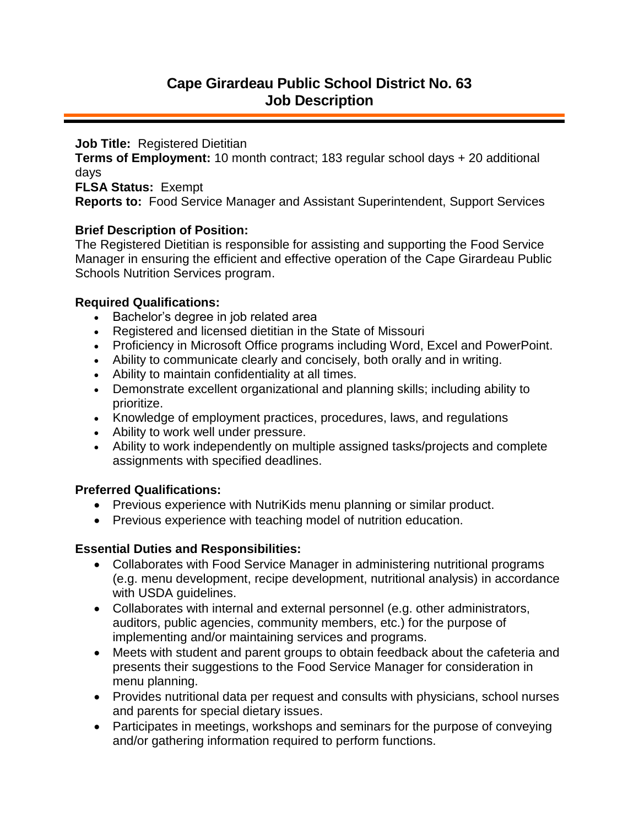**Job Title:** Registered Dietitian

**Terms of Employment:** 10 month contract; 183 regular school days + 20 additional days

**FLSA Status:** Exempt

**Reports to:** Food Service Manager and Assistant Superintendent, Support Services

### **Brief Description of Position:**

The Registered Dietitian is responsible for assisting and supporting the Food Service Manager in ensuring the efficient and effective operation of the Cape Girardeau Public Schools Nutrition Services program.

### **Required Qualifications:**

- Bachelor's degree in job related area
- Registered and licensed dietitian in the State of Missouri
- Proficiency in Microsoft Office programs including Word, Excel and PowerPoint.
- Ability to communicate clearly and concisely, both orally and in writing.
- Ability to maintain confidentiality at all times.
- Demonstrate excellent organizational and planning skills; including ability to prioritize.
- Knowledge of employment practices, procedures, laws, and regulations
- Ability to work well under pressure.
- Ability to work independently on multiple assigned tasks/projects and complete assignments with specified deadlines.

# **Preferred Qualifications:**

- Previous experience with NutriKids menu planning or similar product.
- Previous experience with teaching model of nutrition education.

# **Essential Duties and Responsibilities:**

- Collaborates with Food Service Manager in administering nutritional programs (e.g. menu development, recipe development, nutritional analysis) in accordance with USDA guidelines.
- Collaborates with internal and external personnel (e.g. other administrators, auditors, public agencies, community members, etc.) for the purpose of implementing and/or maintaining services and programs.
- Meets with student and parent groups to obtain feedback about the cafeteria and presents their suggestions to the Food Service Manager for consideration in menu planning.
- Provides nutritional data per request and consults with physicians, school nurses and parents for special dietary issues.
- Participates in meetings, workshops and seminars for the purpose of conveying and/or gathering information required to perform functions.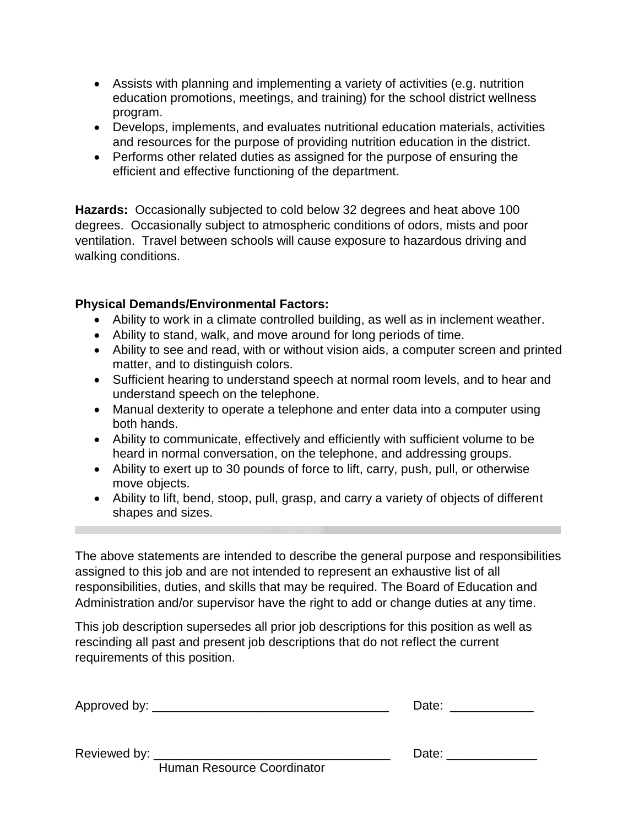- Assists with planning and implementing a variety of activities (e.g. nutrition education promotions, meetings, and training) for the school district wellness program.
- Develops, implements, and evaluates nutritional education materials, activities and resources for the purpose of providing nutrition education in the district.
- Performs other related duties as assigned for the purpose of ensuring the efficient and effective functioning of the department.

**Hazards:** Occasionally subjected to cold below 32 degrees and heat above 100 degrees. Occasionally subject to atmospheric conditions of odors, mists and poor ventilation. Travel between schools will cause exposure to hazardous driving and walking conditions.

# **Physical Demands/Environmental Factors:**

- Ability to work in a climate controlled building, as well as in inclement weather.
- Ability to stand, walk, and move around for long periods of time.
- Ability to see and read, with or without vision aids, a computer screen and printed matter, and to distinguish colors.
- Sufficient hearing to understand speech at normal room levels, and to hear and understand speech on the telephone.
- Manual dexterity to operate a telephone and enter data into a computer using both hands.
- Ability to communicate, effectively and efficiently with sufficient volume to be heard in normal conversation, on the telephone, and addressing groups.
- Ability to exert up to 30 pounds of force to lift, carry, push, pull, or otherwise move objects.
- Ability to lift, bend, stoop, pull, grasp, and carry a variety of objects of different shapes and sizes.

The above statements are intended to describe the general purpose and responsibilities assigned to this job and are not intended to represent an exhaustive list of all responsibilities, duties, and skills that may be required. The Board of Education and Administration and/or supervisor have the right to add or change duties at any time.

This job description supersedes all prior job descriptions for this position as well as rescinding all past and present job descriptions that do not reflect the current requirements of this position.

| Approved by: |
|--------------|
|--------------|

Human Resource Coordinator

Reviewed by: \_\_\_\_\_\_\_\_\_\_\_\_\_\_\_\_\_\_\_\_\_\_\_\_\_\_\_\_\_\_\_\_\_\_ Date: \_\_\_\_\_\_\_\_\_\_\_\_\_